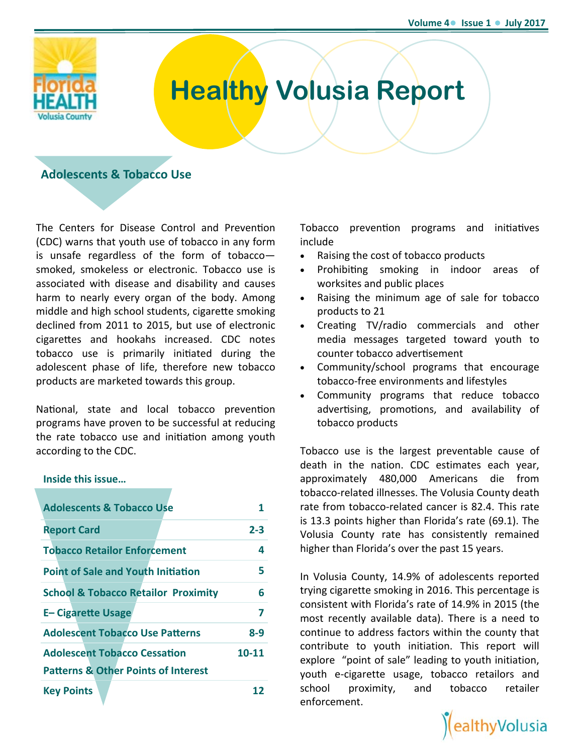

# **Healthy Volusia Report**

# **Adolescents & Tobacco Use**

The Centers for Disease Control and Prevention (CDC) warns that youth use of tobacco in any form is unsafe regardless of the form of tobacco smoked, smokeless or electronic. Tobacco use is associated with disease and disability and causes harm to nearly every organ of the body. Among middle and high school students, cigarette smoking declined from 2011 to 2015, but use of electronic cigarettes and hookahs increased. CDC notes tobacco use is primarily initiated during the adolescent phase of life, therefore new tobacco products are marketed towards this group.

National, state and local tobacco prevention programs have proven to be successful at reducing the rate tobacco use and initiation among youth according to the CDC.

### **Inside this issue…**

| <b>Adolescents &amp; Tobacco Use</b>                                                  | 1       |
|---------------------------------------------------------------------------------------|---------|
| <b>Report Card</b>                                                                    | $2 - 3$ |
| <b>Tobacco Retailor Enforcement</b>                                                   | 4       |
| <b>Point of Sale and Youth Initiation</b>                                             | 5       |
| <b>School &amp; Tobacco Retailor Proximity</b>                                        | 6       |
| <b>E-Cigarette Usage</b>                                                              | 7       |
| <b>Adolescent Tobacco Use Patterns</b>                                                | 8-9     |
| <b>Adolescent Tobacco Cessation</b><br><b>Patterns &amp; Other Points of Interest</b> | 10-11   |
| <b>Key Points</b>                                                                     |         |

Tobacco prevention programs and initiatives include

• Raising the cost of tobacco products

- Prohibiting smoking in indoor areas of worksites and public places
- Raising the minimum age of sale for tobacco products to 21
- Creating TV/radio commercials and other media messages targeted toward youth to counter tobacco advertisement
- Community/school programs that encourage tobacco‐free environments and lifestyles
- Community programs that reduce tobacco advertising, promotions, and availability of tobacco products

Tobacco use is the largest preventable cause of death in the nation. CDC estimates each year, approximately 480,000 Americans die from tobacco‐related illnesses. The Volusia County death rate from tobacco‐related cancer is 82.4. This rate is 13.3 points higher than Florida's rate (69.1). The Volusia County rate has consistently remained higher than Florida's over the past 15 years.

In Volusia County, 14.9% of adolescents reported trying cigarette smoking in 2016. This percentage is consistent with Florida's rate of 14.9% in 2015 (the most recently available data). There is a need to continue to address factors within the county that contribute to youth initiation. This report will explore "point of sale" leading to youth initiation, youth e‐cigarette usage, tobacco retailors and school proximity, and tobacco retailer enforcement.

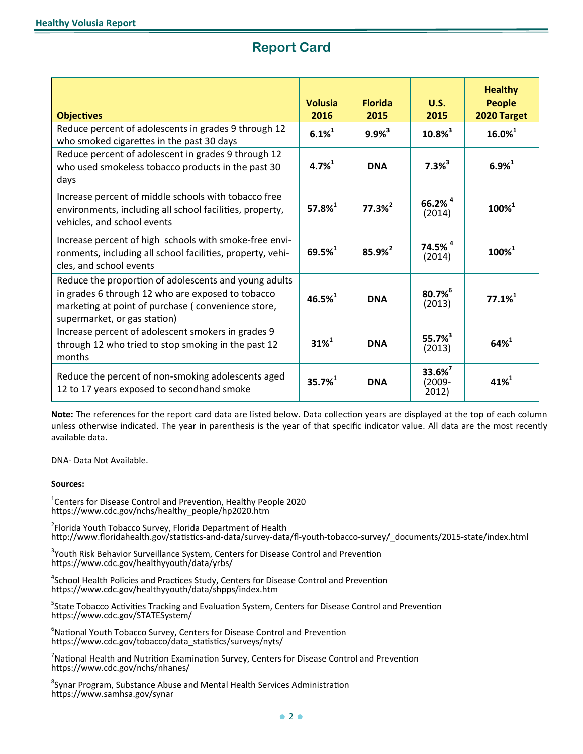# **Report Card**

| <b>Objectives</b>                                                                                                                                                                                | <b>Volusia</b><br>2016 | <b>Florida</b><br>2015 | U.S.<br>2015                             | <b>Healthy</b><br><b>People</b><br>2020 Target |
|--------------------------------------------------------------------------------------------------------------------------------------------------------------------------------------------------|------------------------|------------------------|------------------------------------------|------------------------------------------------|
| Reduce percent of adolescents in grades 9 through 12<br>who smoked cigarettes in the past 30 days                                                                                                | $6.1\%^{1}$            | $9.9%^{3}$             | $10.8\%$ <sup>3</sup>                    | $16.0\%$ <sup>1</sup>                          |
| Reduce percent of adolescent in grades 9 through 12<br>who used smokeless tobacco products in the past 30<br>days                                                                                | $4.7\%$ <sup>1</sup>   | <b>DNA</b>             | $7.3%^{3}$                               | $6.9%^{1}$                                     |
| Increase percent of middle schools with tobacco free<br>environments, including all school facilities, property,<br>vehicles, and school events                                                  | $57.8%^{1}$            | $77.3%^{2}$            | $66.2\%$ <sup>4</sup><br>(2014)          | $100\%^{1}$                                    |
| Increase percent of high schools with smoke-free envi-<br>ronments, including all school facilities, property, vehi-<br>cles, and school events                                                  | $69.5%^{1}$            | 85.9% <sup>2</sup>     | $74.5%$ <sup>4</sup><br>(2014)           | $100\%^{1}$                                    |
| Reduce the proportion of adolescents and young adults<br>in grades 6 through 12 who are exposed to tobacco<br>marketing at point of purchase (convenience store,<br>supermarket, or gas station) | $46.5%^{1}$            | <b>DNA</b>             | 80.7%<br>(2013)                          | $77.1%^{1}$                                    |
| Increase percent of adolescent smokers in grades 9<br>through 12 who tried to stop smoking in the past 12<br>months                                                                              | $31\%^{1}$             | <b>DNA</b>             | $55.7%^{3}$<br>(2013)                    | $64%^{1}$                                      |
| Reduce the percent of non-smoking adolescents aged<br>12 to 17 years exposed to secondhand smoke                                                                                                 | $35.7%^{1}$            | <b>DNA</b>             | 33.6% <sup>7</sup><br>$(2009 -$<br>2012) | $41\%$ <sup>1</sup>                            |

available data. Note: The references for the report card data are listed below. Data collection years are displayed at the top of each column unless otherwise indicated. The year in parenthesis is the year of that specific indicator value. All data are the most recently

DNA- Data Not Available.

### **Sources:**

 $1$ Centers for Disease Control and Prevention, Healthy People 2020 https://www.cdc.gov/nchs/healthy\_people/hp2020.htm

<sup>2</sup>Florida Youth Tobacco Survey, Florida Department of Health http://www.floridahealth.gov/statistics‐and‐data/survey‐data/fl‐youth‐tobacco‐survey/\_documents/2015‐state/index.html

<sup>3</sup>Youth Risk Behavior Surveillance System, Centers for Disease Control and Prevention https://www.cdc.gov/healthyyouth/data/yrbs/

<sup>4</sup>School Health Policies and Practices Study, Centers for Disease Control and Prevention https://www.cdc.gov/healthyyouth/data/shpps/index.htm

<sup>5</sup>State Tobacco Activities Tracking and Evaluation System, Centers for Disease Control and Prevention https://www.cdc.gov/STATESystem/

<sup>6</sup>National Youth Tobacco Survey, Centers for Disease Control and Prevention https://www.cdc.gov/tobacco/data\_statistics/surveys/nyts/

 $^7$ National Health and Nutrition Examination Survey, Centers for Disease Control and Prevention https://www.cdc.gov/nchs/nhanes/

<sup>8</sup>Synar Program, Substance Abuse and Mental Health Services Administration https://www.samhsa.gov/synar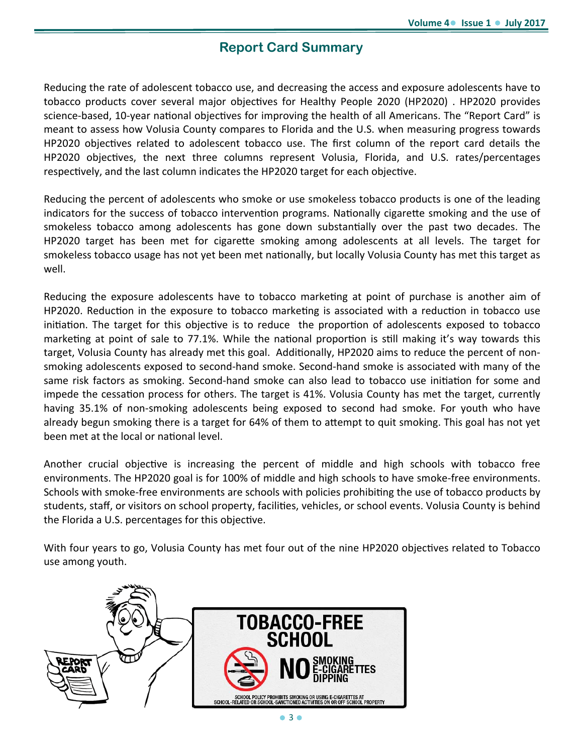# **Report Card Summary**

Reducing the rate of adolescent tobacco use, and decreasing the access and exposure adolescents have to tobacco products cover several major objectives for Healthy People 2020 (HP2020). HP2020 provides science-based, 10-year national objectives for improving the health of all Americans. The "Report Card" is meant to assess how Volusia County compares to Florida and the U.S. when measuring progress towards HP2020 objectives related to adolescent tobacco use. The first column of the report card details the HP2020 objectives, the next three columns represent Volusia, Florida, and U.S. rates/percentages respectively, and the last column indicates the HP2020 target for each objective.

Reducing the percent of adolescents who smoke or use smokeless tobacco products is one of the leading indicators for the success of tobacco intervention programs. Nationally cigarette smoking and the use of smokeless tobacco among adolescents has gone down substantially over the past two decades. The HP2020 target has been met for cigarette smoking among adolescents at all levels. The target for smokeless tobacco usage has not yet been met nationally, but locally Volusia County has met this target as well.

Reducing the exposure adolescents have to tobacco marketing at point of purchase is another aim of HP2020. Reduction in the exposure to tobacco marketing is associated with a reduction in tobacco use initiation. The target for this objective is to reduce the proportion of adolescents exposed to tobacco marketing at point of sale to 77.1%. While the national proportion is still making it's way towards this target, Volusia County has already met this goal. Additionally, HP2020 aims to reduce the percent of nonsmoking adolescents exposed to second‐hand smoke. Second‐hand smoke is associated with many of the same risk factors as smoking. Second-hand smoke can also lead to tobacco use initiation for some and impede the cessation process for others. The target is 41%. Volusia County has met the target, currently having 35.1% of non-smoking adolescents being exposed to second had smoke. For youth who have already begun smoking there is a target for 64% of them to attempt to quit smoking. This goal has not yet been met at the local or national level.

Another crucial objective is increasing the percent of middle and high schools with tobacco free environments. The HP2020 goal is for 100% of middle and high schools to have smoke‐free environments. Schools with smoke-free environments are schools with policies prohibiting the use of tobacco products by students, staff, or visitors on school property, facilities, vehicles, or school events. Volusia County is behind the Florida a U.S. percentages for this objective.

With four years to go, Volusia County has met four out of the nine HP2020 objectives related to Tobacco use among youth.

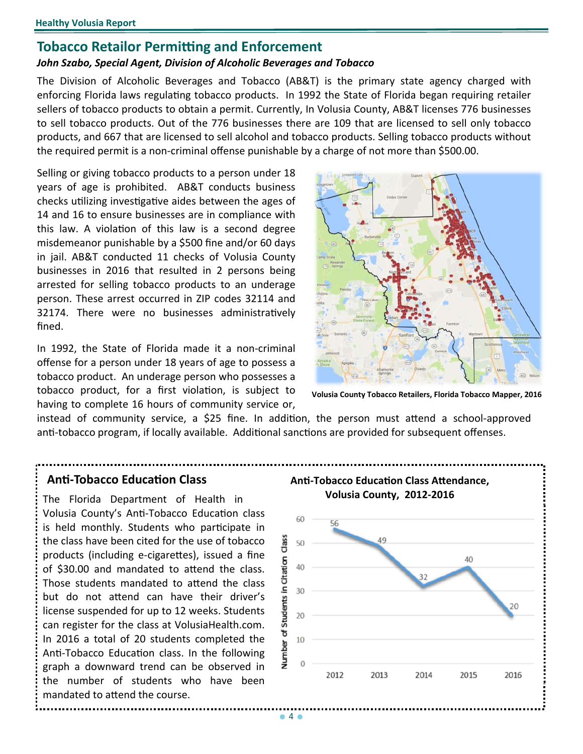# **Tobacco Retailor Permitting and Enforcement**

### *John Szabo, Special Agent, Division of Alcoholic Beverages and Tobacco*

The Division of Alcoholic Beverages and Tobacco (AB&T) is the primary state agency charged with enforcing Florida laws regulating tobacco products. In 1992 the State of Florida began requiring retailer sellers of tobacco products to obtain a permit. Currently, In Volusia County, AB&T licenses 776 businesses to sell tobacco products. Out of the 776 businesses there are 109 that are licensed to sell only tobacco products, and 667 that are licensed to sell alcohol and tobacco products. Selling tobacco products without the required permit is a non‐criminal offense punishable by a charge of not more than \$500.00.

Selling or giving tobacco products to a person under 18 years of age is prohibited. AB&T conducts business checks utilizing investigative aides between the ages of 14 and 16 to ensure businesses are in compliance with this law. A violation of this law is a second degree misdemeanor punishable by a \$500 fine and/or 60 days in jail. AB&T conducted 11 checks of Volusia County businesses in 2016 that resulted in 2 persons being arrested for selling tobacco products to an underage person. These arrest occurred in ZIP codes 32114 and 32174. There were no businesses administratively fined.

In 1992, the State of Florida made it a non‐criminal offense for a person under 18 years of age to possess a tobacco product. An underage person who possesses a tobacco product, for a first violation, is subject to having to complete 16 hours of community service or,



**Volusia County Tobacco Retailers, Florida Tobacco Mapper, 2016** 

instead of community service, a \$25 fine. In addition, the person must attend a school-approved anti-tobacco program, if locally available. Additional sanctions are provided for subsequent offenses.

Volusia County's Anti-Tobacco Education class is held monthly. Students who participate in the class have been cited for the use of tobacco products (including e-cigarettes), issued a fine of \$30.00 and mandated to attend the class. Those students mandated to attend the class but do not attend can have their driver's license suspended for up to 12 weeks. Students can register for the class at VolusiaHealth.com. In 2016 a total of 20 students completed the Anti-Tobacco Education class. In the following graph a downward trend can be observed in the number of students who have been mandated to attend the course.

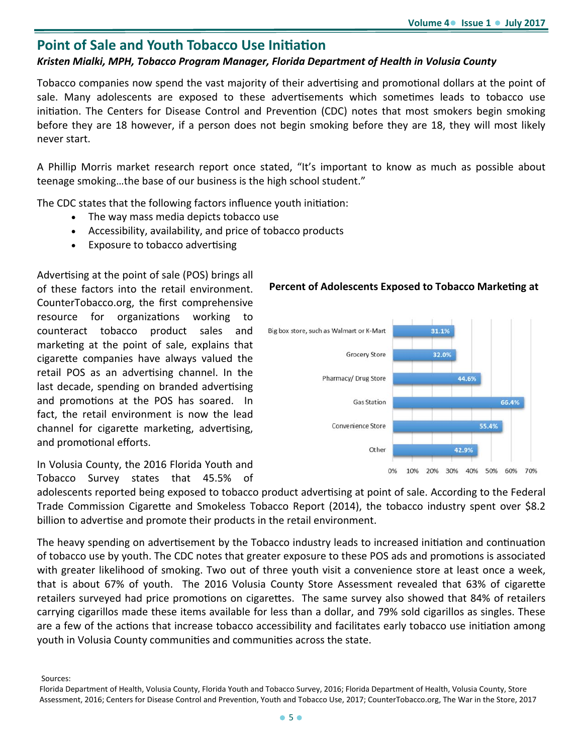# **Point of Sale and Youth Tobacco Use Initiation**

### *Kristen Mialki, MPH, Tobacco Program Manager, Florida Department of Health in Volusia County*

Tobacco companies now spend the vast majority of their advertising and promotional dollars at the point of sale. Many adolescents are exposed to these advertisements which sometimes leads to tobacco use initiation. The Centers for Disease Control and Prevention (CDC) notes that most smokers begin smoking before they are 18 however, if a person does not begin smoking before they are 18, they will most likely never start.

A Phillip Morris market research report once stated, "It's important to know as much as possible about teenage smoking…the base of our business is the high school student."

The CDC states that the following factors influence youth initiation:

- The way mass media depicts tobacco use
- Accessibility, availability, and price of tobacco products
- Exposure to tobacco advertising

Advertising at the point of sale (POS) brings all of these factors into the retail environment. **Percent of Adolescents Exposed to Tobacco Marketing at** CounterTobacco.org, the first comprehensive resource for organizations working to counteract tobacco product sales and marketing at the point of sale, explains that cigarette companies have always valued the retail POS as an advertising channel. In the last decade, spending on branded advertising and promotions at the POS has soared. In fact, the retail environment is now the lead channel for cigarette marketing, advertising, and promotional efforts.

In Volusia County, the 2016 Florida Youth and Tobacco Survey states that 45.5% of



adolescents reported being exposed to tobacco product advertising at point of sale. According to the Federal Trade Commission Cigarette and Smokeless Tobacco Report (2014), the tobacco industry spent over \$8.2 billion to advertise and promote their products in the retail environment.

The heavy spending on advertisement by the Tobacco industry leads to increased initiation and continuation of tobacco use by youth. The CDC notes that greater exposure to these POS ads and promotions is associated with greater likelihood of smoking. Two out of three youth visit a convenience store at least once a week, that is about 67% of youth. The 2016 Volusia County Store Assessment revealed that 63% of cigarette retailers surveyed had price promotions on cigarettes. The same survey also showed that 84% of retailers carrying cigarillos made these items available for less than a dollar, and 79% sold cigarillos as singles. These are a few of the actions that increase tobacco accessibility and facilitates early tobacco use initiation among youth in Volusia County communities and communities across the state.

Sources:

Florida Department of Health, Volusia County, Florida Youth and Tobacco Survey, 2016; Florida Department of Health, Volusia County, Store Assessment, 2016; Centers for Disease Control and Prevention, Youth and Tobacco Use, 2017; CounterTobacco.org, The War in the Store, 2017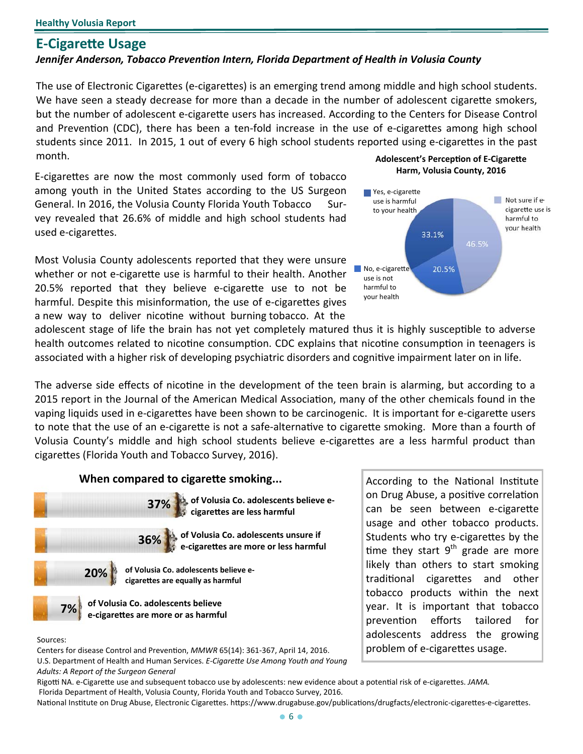# **E‐CigareƩe Usage**

### *Jennifer Anderson, Tobacco PrevenƟon Intern, Florida Department of Health in Volusia County*

**E-Cigarette Usage**<br> **E-Cigarette Usage**<br> **E-Cigarette Usage**<br> **E-Cigarette Usage**<br> **E-Rigarette Usage**<br> **E-Rigarette Usage**<br> **E-Rigarette Usage**<br> **E-Rigarette Usage**<br> **E-Rigarette Solution Cigarettes**<br> **E-Rigarette Soluti** The use of Electronic Cigarettes (e-cigarettes) is an emerging trend among middle and high school students. We have seen a steady decrease for more than a decade in the number of adolescent cigarette smokers, but the number of adolescent e-cigarette users has increased. According to the Centers for Disease Control and Prevention (CDC), there has been a ten-fold increase in the use of e-cigarettes among high school students since 2011. In 2015, 1 out of every 6 high school students reported using e-cigarettes in the past **Adolescent's Perception of E-Cigarette** 

**Harm, Volusia County, 2016** E‐cigareƩes are now the most commonly used form of tobacco among youth in the United States according to the US Surgeon General. In 2016, the Volusia County Florida Youth Tobacco Survey revealed that 26.6% of middle and high school students had used e-cigarettes.

20.5% reported that they believe e-cigarette use to not be harmful to Most Volusia County adolescents reported that they were unsure whether or not e-cigarette use is harmful to their health. Another harmful. Despite this misinformation, the use of e-cigarettes gives vour health a new way to deliver nicotine without burning tobacco. At the



usage and other tobacco products. Students who try e-cigarettes by the **time** they start 9<sup>th</sup> grade are more likely than others to start smoking traditional cigarettes and other tobacco products within the next year. It is important that tobacco prevention efforts tailored for

adolescent stage of life the brain has not yet completely matured thus it is highly susceptible to adverse health outcomes related to nicotine consumption. CDC explains that nicotine consumption in teenagers is associated with a higher risk of developing psychiatric disorders and cognitive impairment later on in life.

The adverse side effects of nicotine in the development of the teen brain is alarming, but according to a 2015 report in the Journal of the American Medical Association, many of the other chemicals found in the vaping liquids used in e-cigarettes have been shown to be carcinogenic. It is important for e-cigarette users to note that the use of an e-cigarette is not a safe-alternative to cigarette smoking. More than a fourth of Volusia County's middle and high school students believe e-cigarettes are a less harmful product than cigarettes (Florida Youth and Tobacco Survey, 2016).



 *Adults: A Report of the Surgeon General* Sources:<br>Centers for disease Control and Prevention. MMWR 65(14): 361-367. April 14. 2016. <br>Centers for disease Control and Prevention. MMWR 65(14): 361-367. April 14. 2016. <br> Centers for disease Control and Prevention, *MMWR* 65(14): 361-367, April 14, 2016. U.S. Department of Health and Human Services. *E‐CigareƩe Use Among Youth and Young* 

Rigotti NA. e-Cigarette use and subsequent tobacco use by adolescents: new evidence about a potential risk of e-cigarettes. JAMA. Florida Department of Health, Volusia County, Florida Youth and Tobacco Survey, 2016.

National Institute on Drug Abuse, Electronic Cigarettes. https://www.drugabuse.gov/publications/drugfacts/electronic-cigarettes-e-cigarettes.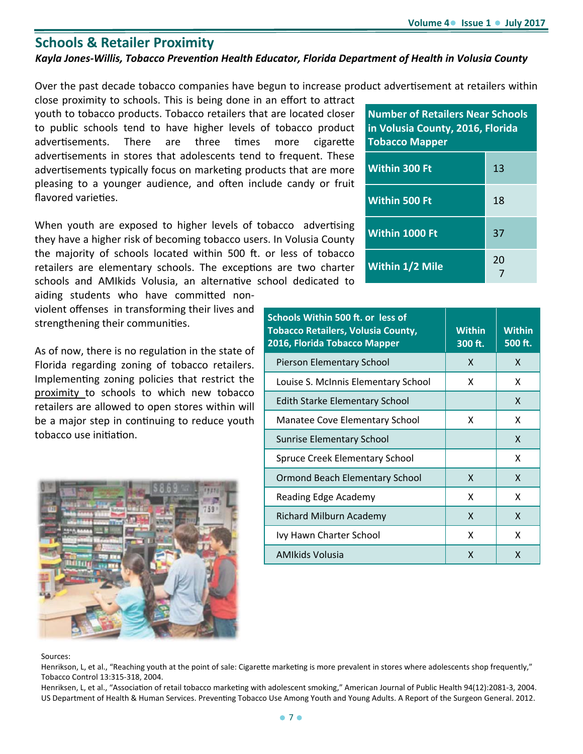# **Schools & Retailer Proximity**

## *Kayla Jones‐Willis, Tobacco PrevenƟon Health Educator, Florida Department of Health in Volusia County*

Over the past decade tobacco companies have begun to increase product advertisement at retailers within

close proximity to schools. This is being done in an effort to attract youth to tobacco products. Tobacco retailers that are located closer to public schools tend to have higher levels of tobacco product advertisements. There are three times more cigarette advertisements in stores that adolescents tend to frequent. These advertisements typically focus on marketing products that are more pleasing to a younger audience, and often include candy or fruit flavored varieties.

When youth are exposed to higher levels of tobacco advertising they have a higher risk of becoming tobacco users. In Volusia County the majority of schools located within 500 ft. or less of tobacco retailers are elementary schools. The exceptions are two charter schools and AMIkids Volusia, an alternative school dedicated to

aiding students who have committed nonviolent offenses in transforming their lives and strengthening their communities.

As of now, there is no regulation in the state of Florida regarding zoning of tobacco retailers. Implementing zoning policies that restrict the proximity to schools to which new tobacco retailers are allowed to open stores within will be a major step in continuing to reduce youth tobacco use initiation.



| <b>Number of Retailers Near Schools</b><br>in Volusia County, 2016, Florida<br><b>Tobacco Mapper</b> |    |  |  |
|------------------------------------------------------------------------------------------------------|----|--|--|
| <b>Within 300 Ft</b>                                                                                 | 13 |  |  |
| <b>Within 500 Ft</b>                                                                                 | 18 |  |  |
| Within 1000 Ft                                                                                       | 37 |  |  |
| <b>Within 1/2 Mile</b>                                                                               | 20 |  |  |

| Schools Within 500 ft. or less of<br><b>Tobacco Retailers, Volusia County,</b><br>2016, Florida Tobacco Mapper | <b>Within</b><br>300 ft. | <b>Within</b><br>500 ft. |
|----------------------------------------------------------------------------------------------------------------|--------------------------|--------------------------|
| Pierson Elementary School                                                                                      | X                        | x                        |
| Louise S. McInnis Elementary School                                                                            | x                        | x                        |
| <b>Edith Starke Elementary School</b>                                                                          |                          | X                        |
| Manatee Cove Elementary School                                                                                 | x                        | x                        |
| <b>Sunrise Elementary School</b>                                                                               |                          | X                        |
| <b>Spruce Creek Elementary School</b>                                                                          |                          | x                        |
| <b>Ormond Beach Elementary School</b>                                                                          | X                        | X                        |
| Reading Edge Academy                                                                                           | x                        | x                        |
| Richard Milburn Academy                                                                                        | X                        | x                        |
| Ivy Hawn Charter School                                                                                        | X                        | x                        |
| AMIkids Volusia                                                                                                | X                        | X                        |

### Sources:

Henrikson, L, et al., "Reaching youth at the point of sale: Cigarette marketing is more prevalent in stores where adolescents shop frequently," Tobacco Control 13:315‐318, 2004.

Henriksen, L, et al., "Association of retail tobacco marketing with adolescent smoking," American Journal of Public Health 94(12):2081-3, 2004. US Department of Health & Human Services. Preventing Tobacco Use Among Youth and Young Adults. A Report of the Surgeon General. 2012.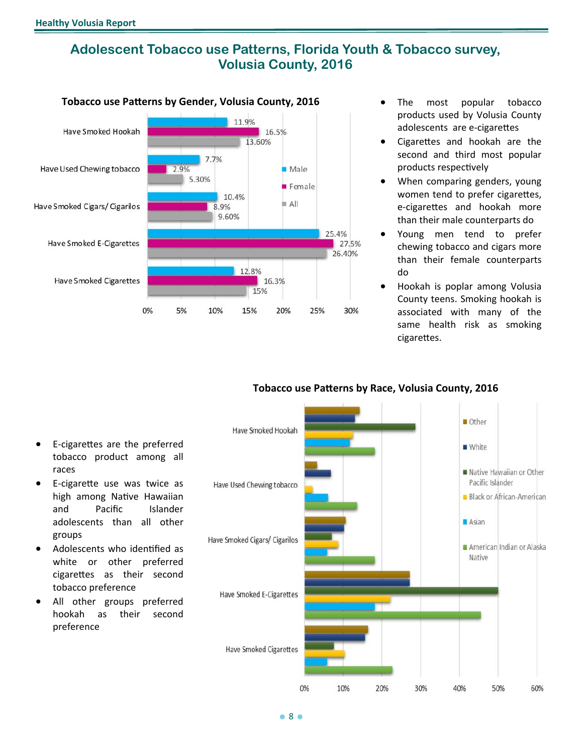# **Adolescent Tobacco use Patterns, Florida Youth & Tobacco survey, Volusia County, 2016**



- **Tobacco use Patterns by Gender, Volusia County, 2016** The most popular tobacco products used by Volusia County adolescents are e-cigarettes
	- products respectively Cigarettes and hookah are the second and third most popular
	- When comparing genders, young women tend to prefer cigarettes, e-cigarettes and hookah more than their male counterparts do
	- Young men tend to prefer chewing tobacco and cigars more than their female counterparts do
	- Hookah is poplar among Volusia County teens. Smoking hookah is associated with many of the same health risk as smoking cigarettes.



### **Tobacco use PaƩerns by Race, Volusia County, 2016**

- E‐cigareƩes are the preferred tobacco product among all races
- E-cigarette use was twice as high among Native Hawaiian and Pacific Islander adolescents than all other groups
- Adolescents who identified as white or other preferred cigarettes as their second tobacco preference
- All other groups preferred hookah as their second preference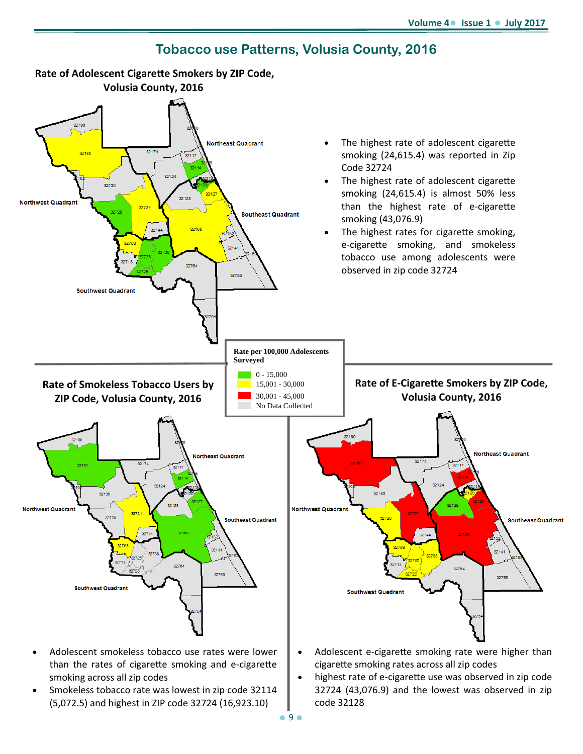

**Tobacco use Patterns, Volusia County, 2016** 

- than the rates of cigarette smoking and e-cigarette smoking across all zip codes
- Smokeless tobacco rate was lowest in zip code 32114 (5,072.5) and highest in ZIP code 32724 (16,923.10)
- cigarette smoking rates across all zip codes • highest rate of e-cigarette use was observed in zip code 32724 (43,076.9) and the lowest was observed in zip

code 32128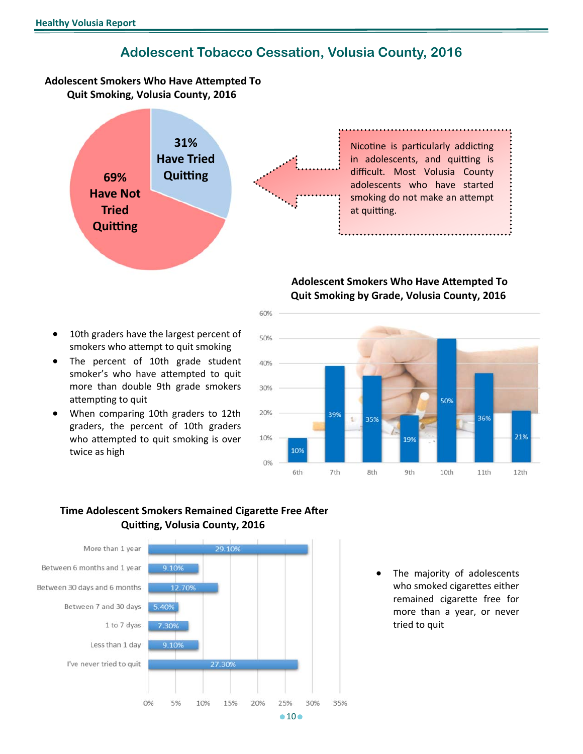# **Adolescent Tobacco Cessation, Volusia County, 2016**

### **Adolescent Smokers Who Have AƩempted To Quit Smoking, Volusia County, 2016**



Nicotine is particularly addicting in adolescents, and quitting is difficult. Most Volusia County adolescents who have started smoking do not make an attempt at quitting.

### **Adolescent Smokers Who Have AƩempted To Quit Smoking by Grade, Volusia County, 2016**



- 10th graders have the largest percent of smokers who attempt to quit smoking
- smoker's who have attempted to quit The percent of 10th grade student more than double 9th grade smokers attempting to quit
- When comparing 10th graders to 12th graders, the percent of 10th graders who attempted to quit smoking is over twice as high

 **Time Adolescent Smokers Remained Cigarette Free After Quiƫng, Volusia County, 2016** 



 The majority of adolescents who smoked cigarettes either remained cigarette free for more than a year, or never tried to quit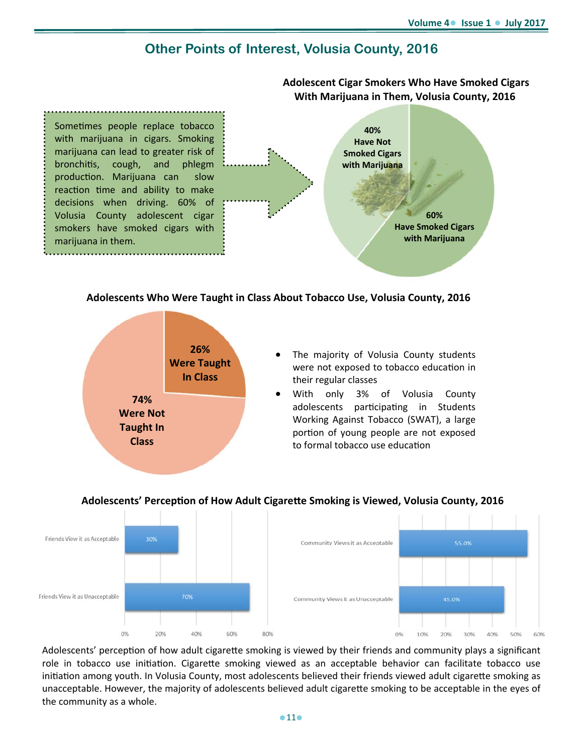**Adolescent Cigar Smokers Who Have Smoked Cigars** 

# **Other Points of Interest, Volusia County, 2016**



### **Adolescents Who Were Taught in Class About Tobacco Use, Volusia County, 2016**



- The majority of Volusia County students were not exposed to tobacco education in their regular classes
- With only 3% of Volusia County adolescents participating in Students Working Against Tobacco (SWAT), a large portion of young people are not exposed to formal tobacco use education



### **Adolescents' PercepƟon of How Adult CigareƩe Smoking is Viewed, Volusia County, 2016**

the community as a whole.<br>11<sup>0</sup>  $\bullet$  11<sup>0</sup> Adolescents' perception of how adult cigarette smoking is viewed by their friends and community plays a significant role in tobacco use initiation. Cigarette smoking viewed as an acceptable behavior can facilitate tobacco use initiation among youth. In Volusia County, most adolescents believed their friends viewed adult cigarette smoking as unacceptable. However, the majority of adolescents believed adult cigarette smoking to be acceptable in the eyes of